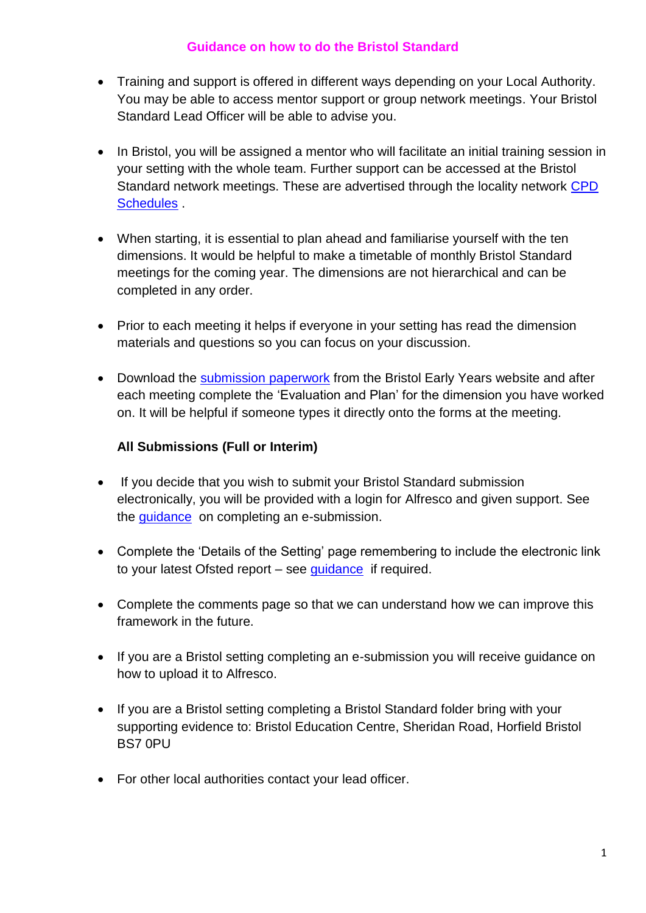#### **Guidance on how to do the Bristol Standard**

- Training and support is offered in different ways depending on your Local Authority. You may be able to access mentor support or group network meetings. Your Bristol Standard Lead Officer will be able to advise you.
- In Bristol, you will be assigned a mentor who will facilitate an initial training session in your setting with the whole team. Further support can be accessed at the Bristol Standard network meetings. These are advertised through the locality network [CPD](https://www.bristolearlyyears.org.uk/settings/cpd/)  [Schedules](https://www.bristolearlyyears.org.uk/settings/cpd/) .
- When starting, it is essential to plan ahead and familiarise yourself with the ten dimensions. It would be helpful to make a timetable of monthly Bristol Standard meetings for the coming year. The dimensions are not hierarchical and can be completed in any order.
- Prior to each meeting it helps if everyone in your setting has read the dimension materials and questions so you can focus on your discussion.
- Download the [submission paperwork](https://www.bristolearlyyears.org.uk/bristol-standard-submission-forms/) from the Bristol Early Years website and after each meeting complete the 'Evaluation and Plan' for the dimension you have worked on. It will be helpful if someone types it directly onto the forms at the meeting.

# **All Submissions (Full or Interim)**

- If you decide that you wish to submit your Bristol Standard submission electronically, you will be provided with a login for Alfresco and given support. See the [guidance](https://www.bristolearlyyears.org.uk/bristol-standard-submission-forms/) on completing an e-submission.
- Complete the 'Details of the Setting' page remembering to include the electronic link to your latest Ofsted report – see [guidance](https://www.bristolearlyyears.org.uk/bristol-standard-submission-forms/) if required.
- Complete the comments page so that we can understand how we can improve this framework in the future.
- If you are a Bristol setting completing an e-submission you will receive guidance on how to upload it to Alfresco.
- If you are a Bristol setting completing a Bristol Standard folder bring with your supporting evidence to: Bristol Education Centre, Sheridan Road, Horfield Bristol BS7 0PU
- For other local authorities contact your lead officer.